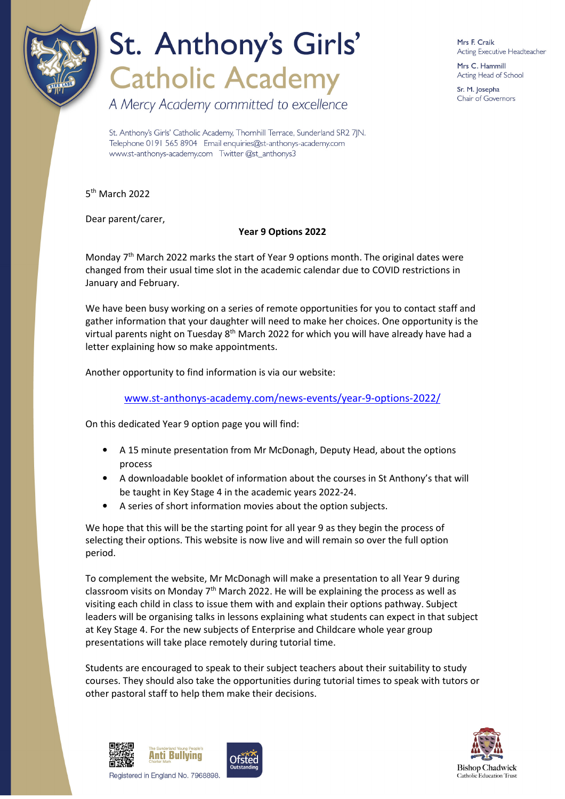

# St. Anthony's Girls' **Catholic Academy**

A Mercy Academy committed to excellence

Mrs F. Craik Acting Executive Headteacher

Mrs C. Hammill Acting Head of School

Sr. M. Josepha Chair of Governors

St. Anthony's Girls' Catholic Academy, Thornhill Terrace, Sunderland SR2 7JN. Telephone 0191 565 8904 Email enquiries@st-anthonys-academy.com www.st-anthonys-academy.com Twitter @st\_anthonys3

5<sup>th</sup> March 2022

Dear parent/carer,

#### **Year 9 Options 2022**

Monday  $7<sup>th</sup>$  March 2022 marks the start of Year 9 options month. The original dates were changed from their usual time slot in the academic calendar due to COVID restrictions in January and February.

We have been busy working on a series of remote opportunities for you to contact staff and gather information that your daughter will need to make her choices. One opportunity is the virtual parents night on Tuesday 8<sup>th</sup> March 2022 for which you will have already have had a letter explaining how so make appointments.

Another opportunity to find information is via our website:

www.st-anthonys-academy.com/news-events/year-9-options-2022/

On this dedicated Year 9 option page you will find:

- A 15 minute presentation from Mr McDonagh, Deputy Head, about the options process
- A downloadable booklet of information about the courses in St Anthony's that will be taught in Key Stage 4 in the academic years 2022-24.
- A series of short information movies about the option subjects.

We hope that this will be the starting point for all year 9 as they begin the process of selecting their options. This website is now live and will remain so over the full option period.

To complement the website, Mr McDonagh will make a presentation to all Year 9 during classroom visits on Monday  $7<sup>th</sup>$  March 2022. He will be explaining the process as well as visiting each child in class to issue them with and explain their options pathway. Subject leaders will be organising talks in lessons explaining what students can expect in that subject at Key Stage 4. For the new subjects of Enterprise and Childcare whole year group presentations will take place remotely during tutorial time.

Students are encouraged to speak to their subject teachers about their suitability to study courses. They should also take the opportunities during tutorial times to speak with tutors or other pastoral staff to help them make their decisions.



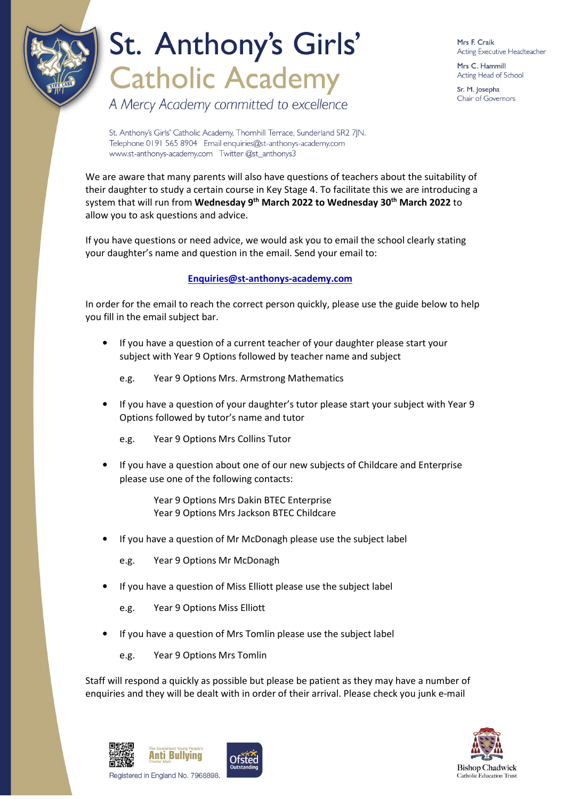

## St. Anthony's Girls' **Catholic Academy**

Mrs F. Craik Acting Executive Headteacher

Mrs C. Hammill Acting Head of School

Sr. M. Josepha Chair of Governors

A Mercy Academy committed to excellence

St. Anthony's Girls' Catholic Academy, Thornhill Terrace, Sunderland SR2 7JN. Telephone 0191 565 8904 Email enquiries@st-anthonys-academy.com www.st-anthonys-academy.com Twitter @st\_anthonys3

We are aware that many parents will also have questions of teachers about the suitability of their daughter to study a certain course in Key Stage 4. To facilitate this we are introducing a system that will run from **Wednesday 9th March 2022 to Wednesday 30th March 2022** to allow you to ask questions and advice.

If you have questions or need advice, we would ask you to email the school clearly stating your daughter's name and question in the email. Send your email to:

#### **Enquiries@st-anthonys-academy.com**

In order for the email to reach the correct person quickly, please use the guide below to help you fill in the email subject bar.

- If you have a question of a current teacher of your daughter please start your subject with Year 9 Options followed by teacher name and subject
	- e.g. Year 9 Options Mrs. Armstrong Mathematics
- If you have a question of your daughter's tutor please start your subject with Year 9 Options followed by tutor's name and tutor
	- e.g. Year 9 Options Mrs Collins Tutor
- If you have a question about one of our new subjects of Childcare and Enterprise please use one of the following contacts:

Year 9 Options Mrs Dakin BTEC Enterprise Year 9 Options Mrs Jackson BTEC Childcare

- If you have a question of Mr McDonagh please use the subject label
	- e.g. Year 9 Options Mr McDonagh
- If you have a question of Miss Elliott please use the subject label

e.g. Year 9 Options Miss Elliott

- If you have a question of Mrs Tomlin please use the subject label
	- e.g. Year 9 Options Mrs Tomlin

Staff will respond a quickly as possible but please be patient as they may have a number of enquiries and they will be dealt with in order of their arrival. Please check you junk e-mail